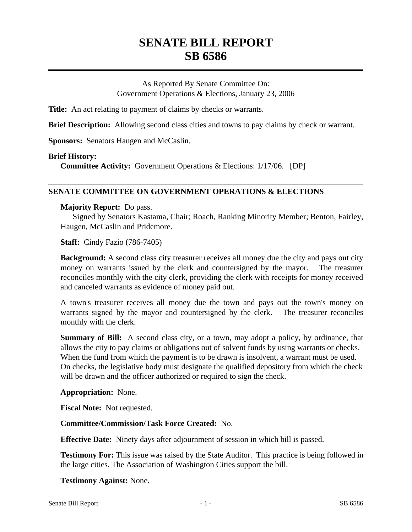# **SENATE BILL REPORT SB 6586**

As Reported By Senate Committee On: Government Operations & Elections, January 23, 2006

**Title:** An act relating to payment of claims by checks or warrants.

**Brief Description:** Allowing second class cities and towns to pay claims by check or warrant.

**Sponsors:** Senators Haugen and McCaslin.

# **Brief History:**

**Committee Activity:** Government Operations & Elections: 1/17/06. [DP]

# **SENATE COMMITTEE ON GOVERNMENT OPERATIONS & ELECTIONS**

### **Majority Report:** Do pass.

Signed by Senators Kastama, Chair; Roach, Ranking Minority Member; Benton, Fairley, Haugen, McCaslin and Pridemore.

**Staff:** Cindy Fazio (786-7405)

**Background:** A second class city treasurer receives all money due the city and pays out city money on warrants issued by the clerk and countersigned by the mayor. The treasurer reconciles monthly with the city clerk, providing the clerk with receipts for money received and canceled warrants as evidence of money paid out.

A town's treasurer receives all money due the town and pays out the town's money on warrants signed by the mayor and countersigned by the clerk. The treasurer reconciles monthly with the clerk.

**Summary of Bill:** A second class city, or a town, may adopt a policy, by ordinance, that allows the city to pay claims or obligations out of solvent funds by using warrants or checks. When the fund from which the payment is to be drawn is insolvent, a warrant must be used. On checks, the legislative body must designate the qualified depository from which the check will be drawn and the officer authorized or required to sign the check.

### **Appropriation:** None.

**Fiscal Note:** Not requested.

### **Committee/Commission/Task Force Created:** No.

**Effective Date:** Ninety days after adjournment of session in which bill is passed.

**Testimony For:** This issue was raised by the State Auditor. This practice is being followed in the large cities. The Association of Washington Cities support the bill.

**Testimony Against:** None.